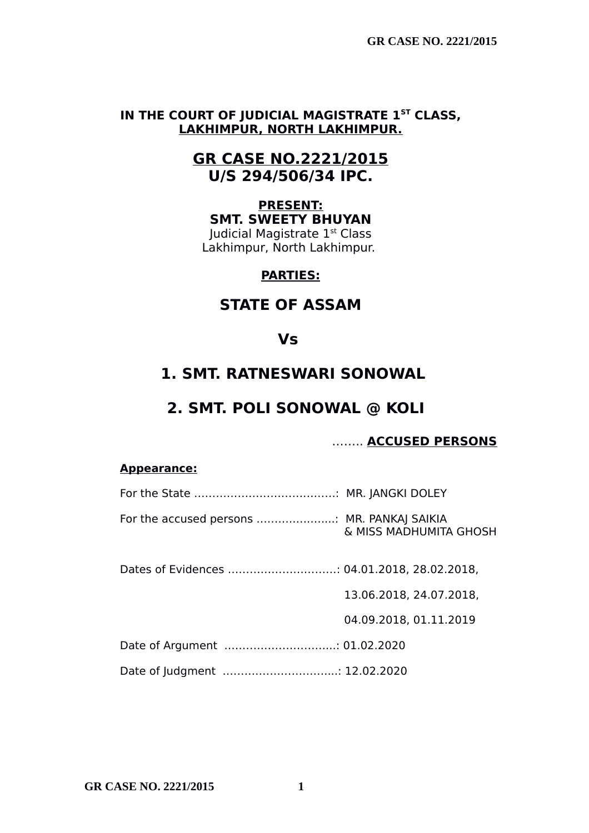## **IN THE COURT OF JUDICIAL MAGISTRATE 1ST CLASS, LAKHIMPUR, NORTH LAKHIMPUR.**

## **GR CASE NO.2221/2015 U/S 294/506/34 IPC.**

### **PRESENT: SMT. SWEETY BHUYAN** Judicial Magistrate 1st Class Lakhimpur, North Lakhimpur.

## **PARTIES:**

# **STATE OF ASSAM**

## **Vs**

# **1. SMT. RATNESWARI SONOWAL**

# **2. SMT. POLI SONOWAL @ KOLI**

## …….. **ACCUSED PERSONS**

### **Appearance:**

| For the accused persons  MR. PANKAJ SAIKIA | & MISS MADHUMITA GHOSH  |
|--------------------------------------------|-------------------------|
|                                            |                         |
|                                            | 13.06.2018, 24.07.2018, |
|                                            | 04.09.2018, 01.11.2019  |
|                                            |                         |
| Date of Judgment  12.02.2020               |                         |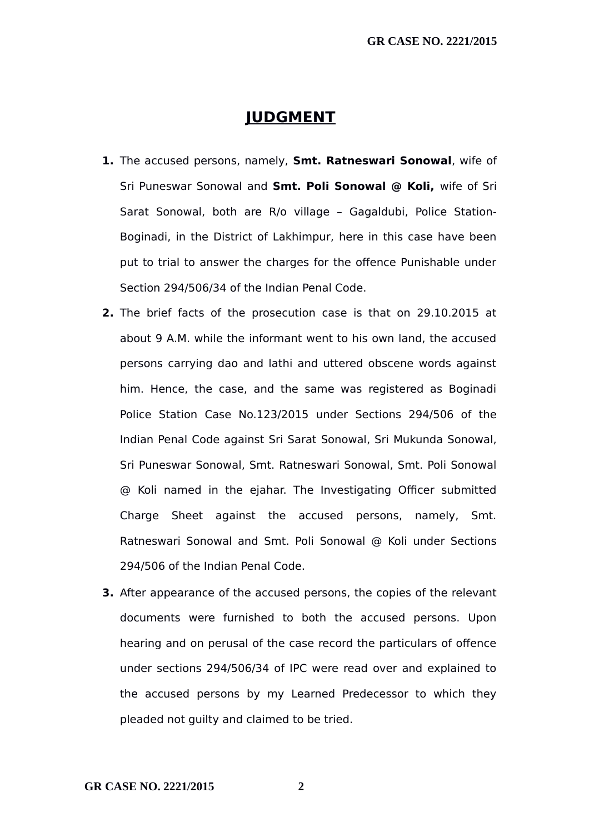## **JUDGMENT**

- **1.** The accused persons, namely, **Smt. Ratneswari Sonowal**, wife of Sri Puneswar Sonowal and **Smt. Poli Sonowal @ Koli,** wife of Sri Sarat Sonowal, both are R/o village – Gagaldubi, Police Station-Boginadi, in the District of Lakhimpur, here in this case have been put to trial to answer the charges for the offence Punishable under Section 294/506/34 of the Indian Penal Code.
- **2.** The brief facts of the prosecution case is that on 29.10.2015 at about 9 A.M. while the informant went to his own land, the accused persons carrying dao and lathi and uttered obscene words against him. Hence, the case, and the same was registered as Boginadi Police Station Case No.123/2015 under Sections 294/506 of the Indian Penal Code against Sri Sarat Sonowal, Sri Mukunda Sonowal, Sri Puneswar Sonowal, Smt. Ratneswari Sonowal, Smt. Poli Sonowal @ Koli named in the ejahar. The Investigating Officer submitted Charge Sheet against the accused persons, namely, Smt. Ratneswari Sonowal and Smt. Poli Sonowal @ Koli under Sections 294/506 of the Indian Penal Code.
- **3.** After appearance of the accused persons, the copies of the relevant documents were furnished to both the accused persons. Upon hearing and on perusal of the case record the particulars of offence under sections 294/506/34 of IPC were read over and explained to the accused persons by my Learned Predecessor to which they pleaded not guilty and claimed to be tried.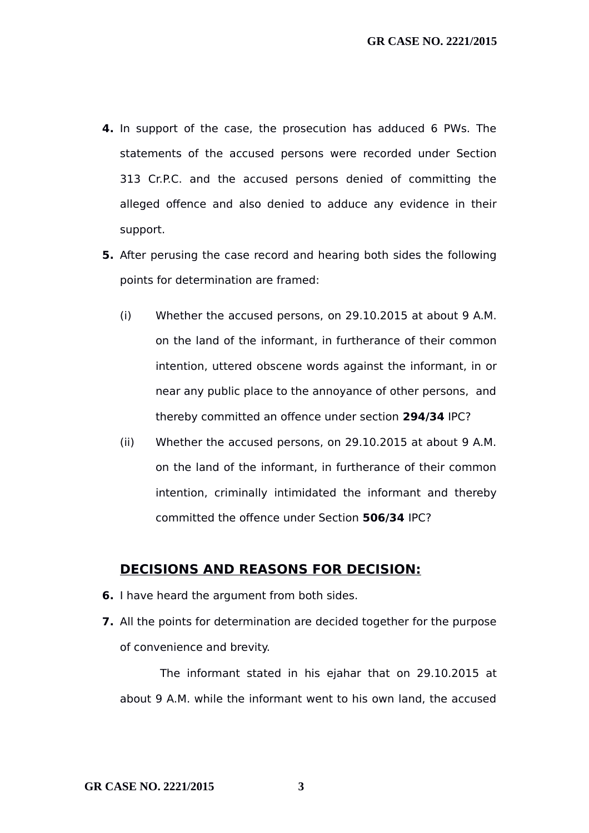- **4.** In support of the case, the prosecution has adduced 6 PWs. The statements of the accused persons were recorded under Section 313 Cr.P.C. and the accused persons denied of committing the alleged offence and also denied to adduce any evidence in their support.
- **5.** After perusing the case record and hearing both sides the following points for determination are framed:
	- (i) Whether the accused persons, on 29.10.2015 at about 9 A.M. on the land of the informant, in furtherance of their common intention, uttered obscene words against the informant, in or near any public place to the annoyance of other persons, and thereby committed an offence under section **294/34** IPC?
	- (ii) Whether the accused persons, on 29.10.2015 at about 9 A.M. on the land of the informant, in furtherance of their common intention, criminally intimidated the informant and thereby committed the offence under Section **506/34** IPC?

### **DECISIONS AND REASONS FOR DECISION:**

- **6.** I have heard the argument from both sides.
- **7.** All the points for determination are decided together for the purpose of convenience and brevity.

The informant stated in his ejahar that on 29.10.2015 at about 9 A.M. while the informant went to his own land, the accused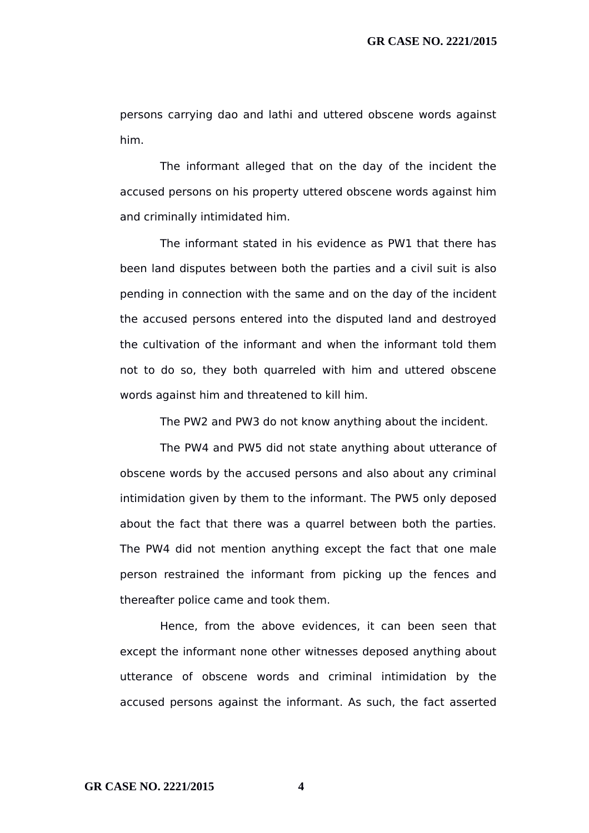persons carrying dao and lathi and uttered obscene words against him.

The informant alleged that on the day of the incident the accused persons on his property uttered obscene words against him and criminally intimidated him.

The informant stated in his evidence as PW1 that there has been land disputes between both the parties and a civil suit is also pending in connection with the same and on the day of the incident the accused persons entered into the disputed land and destroyed the cultivation of the informant and when the informant told them not to do so, they both quarreled with him and uttered obscene words against him and threatened to kill him.

The PW2 and PW3 do not know anything about the incident.

The PW4 and PW5 did not state anything about utterance of obscene words by the accused persons and also about any criminal intimidation given by them to the informant. The PW5 only deposed about the fact that there was a quarrel between both the parties. The PW4 did not mention anything except the fact that one male person restrained the informant from picking up the fences and thereafter police came and took them.

Hence, from the above evidences, it can been seen that except the informant none other witnesses deposed anything about utterance of obscene words and criminal intimidation by the accused persons against the informant. As such, the fact asserted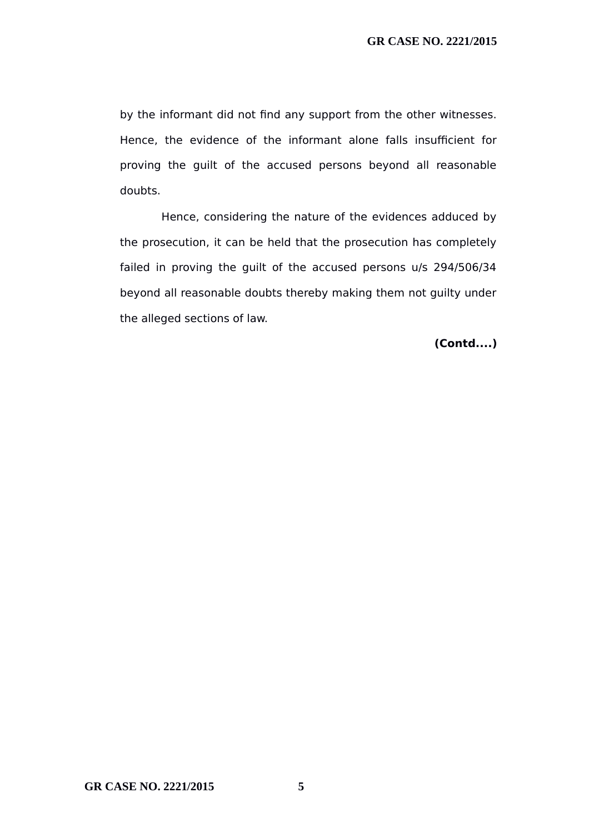by the informant did not find any support from the other witnesses. Hence, the evidence of the informant alone falls insufficient for proving the guilt of the accused persons beyond all reasonable doubts.

Hence, considering the nature of the evidences adduced by the prosecution, it can be held that the prosecution has completely failed in proving the guilt of the accused persons u/s 294/506/34 beyond all reasonable doubts thereby making them not guilty under the alleged sections of law.

**(Contd....)**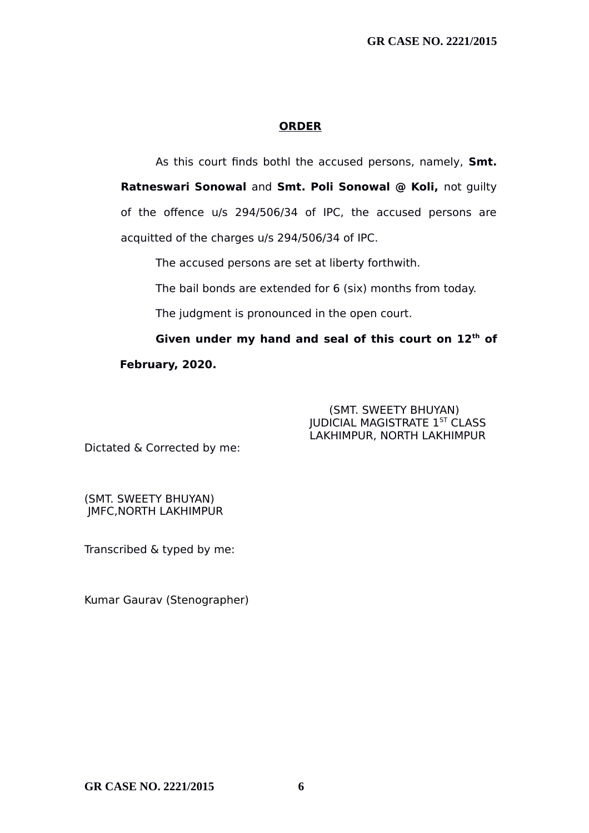### **ORDER**

As this court finds bothl the accused persons, namely, **Smt. Ratneswari Sonowal** and **Smt. Poli Sonowal @ Koli,** not guilty of the offence u/s 294/506/34 of IPC, the accused persons are acquitted of the charges u/s 294/506/34 of IPC.

The accused persons are set at liberty forthwith.

The bail bonds are extended for 6 (six) months from today.

The judgment is pronounced in the open court.

**Given under my hand and seal of this court on 12th of February, 2020.**

#### (SMT. SWEETY BHUYAN) JUDICIAL MAGISTRATE 1ST CLASS LAKHIMPUR, NORTH LAKHIMPUR

Dictated & Corrected by me:

(SMT. SWEETY BHUYAN) JMFC,NORTH LAKHIMPUR

Transcribed & typed by me:

Kumar Gaurav (Stenographer)